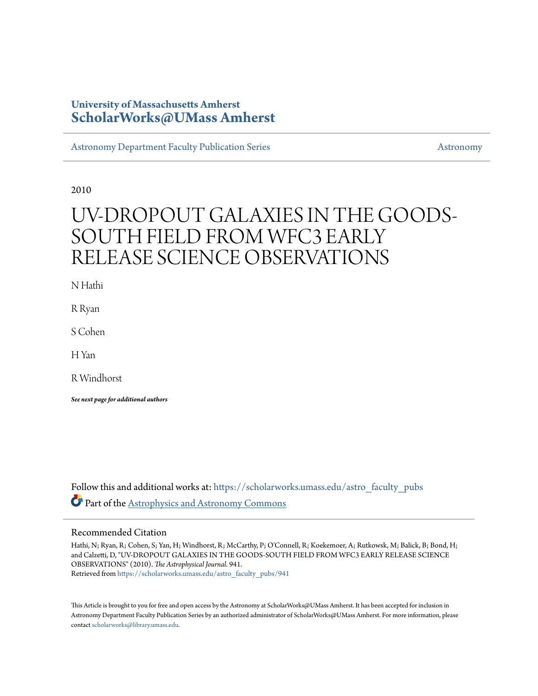# **University of Massachusetts Amherst [ScholarWorks@UMass Amherst](https://scholarworks.umass.edu?utm_source=scholarworks.umass.edu%2Fastro_faculty_pubs%2F941&utm_medium=PDF&utm_campaign=PDFCoverPages)**

[Astronomy Department Faculty Publication Series](https://scholarworks.umass.edu/astro_faculty_pubs?utm_source=scholarworks.umass.edu%2Fastro_faculty_pubs%2F941&utm_medium=PDF&utm_campaign=PDFCoverPages) [Astronomy](https://scholarworks.umass.edu/astro?utm_source=scholarworks.umass.edu%2Fastro_faculty_pubs%2F941&utm_medium=PDF&utm_campaign=PDFCoverPages)

2010

# UV-DROPOUT GALAXIES IN THE GOODS-SOUTH FIELD FROM WFC3 EARLY RELEASE SCIENCE OBSERVATIONS

N Hathi

R Ryan

S Cohen

H Yan

R Windhorst

*See next page for additional authors*

Follow this and additional works at: [https://scholarworks.umass.edu/astro\\_faculty\\_pubs](https://scholarworks.umass.edu/astro_faculty_pubs?utm_source=scholarworks.umass.edu%2Fastro_faculty_pubs%2F941&utm_medium=PDF&utm_campaign=PDFCoverPages) Part of the [Astrophysics and Astronomy Commons](http://network.bepress.com/hgg/discipline/123?utm_source=scholarworks.umass.edu%2Fastro_faculty_pubs%2F941&utm_medium=PDF&utm_campaign=PDFCoverPages)

#### Recommended Citation

Hathi, N; Ryan, R; Cohen, S; Yan, H; Windhorst, R; McCarthy, P; O'Connell, R; Koekemoer, A; Rutkowsk, M; Balick, B; Bond, H; and Calzetti, D, "UV-DROPOUT GALAXIES IN THE GOODS-SOUTH FIELD FROM WFC3 EARLY RELEASE SCIENCE OBSERVATIONS" (2010). *The Astrophysical Journal*. 941. Retrieved from [https://scholarworks.umass.edu/astro\\_faculty\\_pubs/941](https://scholarworks.umass.edu/astro_faculty_pubs/941?utm_source=scholarworks.umass.edu%2Fastro_faculty_pubs%2F941&utm_medium=PDF&utm_campaign=PDFCoverPages)

This Article is brought to you for free and open access by the Astronomy at ScholarWorks@UMass Amherst. It has been accepted for inclusion in Astronomy Department Faculty Publication Series by an authorized administrator of ScholarWorks@UMass Amherst. For more information, please contact [scholarworks@library.umass.edu](mailto:scholarworks@library.umass.edu).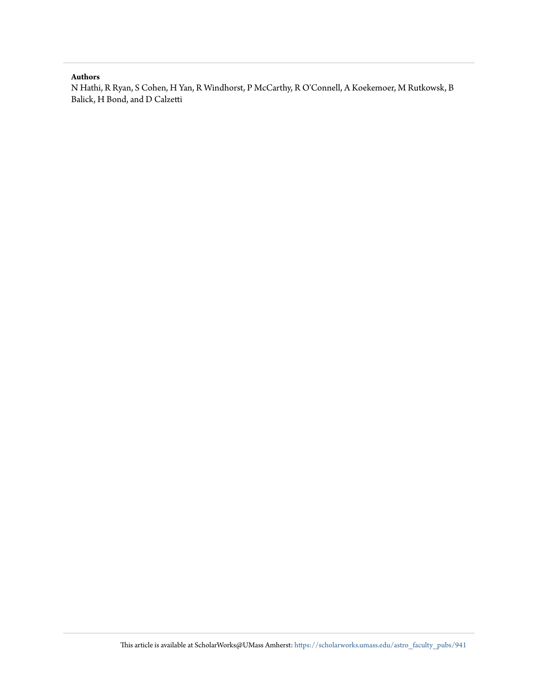#### **Authors**

N Hathi, R Ryan, S Cohen, H Yan, R Windhorst, P McCarthy, R O'Connell, A Koekemoer, M Rutkowsk, B Balick, H Bond, and D Calzetti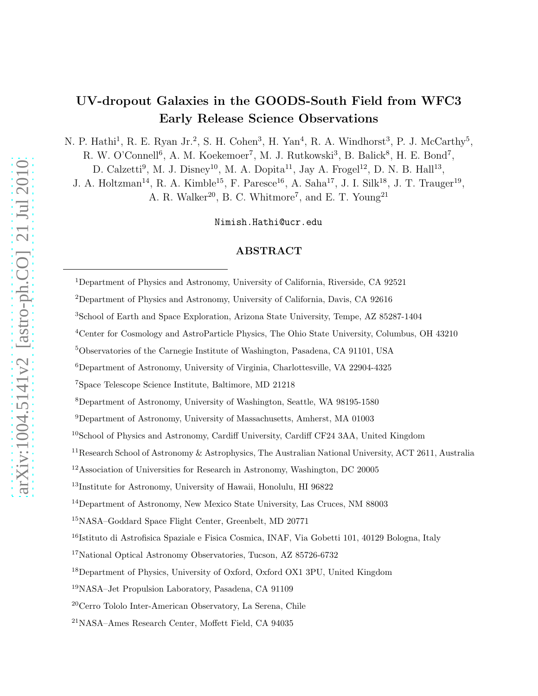# UV-dropout Galaxies in the GOODS-South Field from WFC3 Early Release Science Observations

N. P. Hathi<sup>1</sup>, R. E. Ryan Jr.<sup>2</sup>, S. H. Cohen<sup>3</sup>, H. Yan<sup>4</sup>, R. A. Windhorst<sup>3</sup>, P. J. McCarthy<sup>5</sup>, R. W. O'Connell<sup>6</sup>, A. M. Koekemoer<sup>7</sup>, M. J. Rutkowski<sup>3</sup>, B. Balick<sup>8</sup>, H. E. Bond<sup>7</sup>,

D. Calzetti<sup>9</sup>, M. J. Disney<sup>10</sup>, M. A. Dopita<sup>11</sup>, Jay A. Frogel<sup>12</sup>, D. N. B. Hall<sup>13</sup>,

J. A. Holtzman<sup>14</sup>, R. A. Kimble<sup>15</sup>, F. Paresce<sup>16</sup>, A. Saha<sup>17</sup>, J. I. Silk<sup>18</sup>, J. T. Trauger<sup>19</sup>, A. R. Walker<sup>20</sup>, B. C. Whitmore<sup>7</sup>, and E. T. Young<sup>21</sup>

Nimish.Hathi@ucr.edu

## ABSTRACT

<sup>1</sup>Department of Physics and Astronomy, University of California, Riverside, CA 92521

<sup>2</sup>Department of Physics and Astronomy, University of California, Davis, CA 92616

<sup>3</sup>School of Earth and Space Exploration, Arizona State University, Tempe, AZ 85287-1404

<sup>4</sup>Center for Cosmology and AstroParticle Physics, The Ohio State University, Columbus, OH 43210

<sup>5</sup>Observatories of the Carnegie Institute of Washington, Pasadena, CA 91101, USA

<sup>6</sup>Department of Astronomy, University of Virginia, Charlottesville, VA 22904-4325

<sup>7</sup>Space Telescope Science Institute, Baltimore, MD 21218

<sup>8</sup>Department of Astronomy, University of Washington, Seattle, WA 98195-1580

<sup>9</sup>Department of Astronomy, University of Massachusetts, Amherst, MA 01003

<sup>10</sup>School of Physics and Astronomy, Cardiff University, Cardiff CF24 3AA, United Kingdom

<sup>&</sup>lt;sup>11</sup> Research School of Astronomy & Astrophysics, The Australian National University, ACT 2611, Australia

 $12$ Association of Universities for Research in Astronomy, Washington, DC 20005

<sup>&</sup>lt;sup>13</sup>Institute for Astronomy, University of Hawaii, Honolulu, HI 96822

<sup>14</sup>Department of Astronomy, New Mexico State University, Las Cruces, NM 88003

<sup>15</sup>NASA–Goddard Space Flight Center, Greenbelt, MD 20771

<sup>&</sup>lt;sup>16</sup>Istituto di Astrofisica Spaziale e Fisica Cosmica, INAF, Via Gobetti 101, 40129 Bologna, Italy

<sup>17</sup>National Optical Astronomy Observatories, Tucson, AZ 85726-6732

<sup>&</sup>lt;sup>18</sup>Department of Physics, University of Oxford, Oxford OX1 3PU, United Kingdom

<sup>19</sup>NASA–Jet Propulsion Laboratory, Pasadena, CA 91109

<sup>20</sup>Cerro Tololo Inter-American Observatory, La Serena, Chile

<sup>21</sup>NASA–Ames Research Center, Moffett Field, CA 94035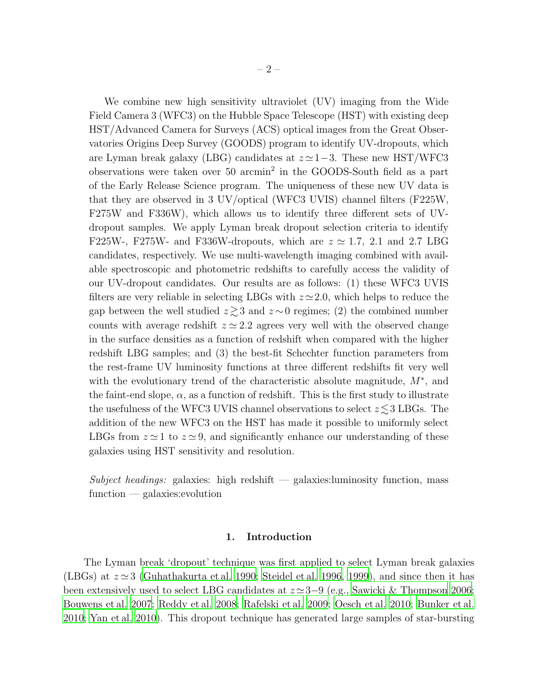We combine new high sensitivity ultraviolet (UV) imaging from the Wide Field Camera 3 (WFC3) on the Hubble Space Telescope (HST) with existing deep HST/Advanced Camera for Surveys (ACS) optical images from the Great Observatories Origins Deep Survey (GOODS) program to identify UV-dropouts, which are Lyman break galaxy (LBG) candidates at  $z \approx 1-3$ . These new HST/WFC3 observations were taken over 50 arcmin<sup>2</sup> in the GOODS-South field as a part of the Early Release Science program. The uniqueness of these new UV data is that they are observed in 3 UV/optical (WFC3 UVIS) channel filters (F225W, F275W and F336W), which allows us to identify three different sets of UVdropout samples. We apply Lyman break dropout selection criteria to identify F225W-, F275W- and F336W-dropouts, which are  $z \approx 1.7, 2.1$  and 2.7 LBG candidates, respectively. We use multi-wavelength imaging combined with available spectroscopic and photometric redshifts to carefully access the validity of our UV-dropout candidates. Our results are as follows: (1) these WFC3 UVIS filters are very reliable in selecting LBGs with  $z \approx 2.0$ , which helps to reduce the gap between the well studied  $z \gtrsim 3$  and  $z \sim 0$  regimes; (2) the combined number counts with average redshift  $z \approx 2.2$  agrees very well with the observed change in the surface densities as a function of redshift when compared with the higher redshift LBG samples; and (3) the best-fit Schechter function parameters from the rest-frame UV luminosity functions at three different redshifts fit very well with the evolutionary trend of the characteristic absolute magnitude,  $M^*$ , and the faint-end slope,  $\alpha$ , as a function of redshift. This is the first study to illustrate the usefulness of the WFC3 UVIS channel observations to select  $z \lesssim 3$  LBGs. The addition of the new WFC3 on the HST has made it possible to uniformly select LBGs from  $z \approx 1$  to  $z \approx 9$ , and significantly enhance our understanding of these galaxies using HST sensitivity and resolution.

*Subject headings:* galaxies: high redshift — galaxies:luminosity function, mass function — galaxies:evolution

### 1. Introduction

The Lyman break 'dropout' technique was first applied to select Lyman break galaxies (LBGs) at  $z \approx 3$  [\(Guhathakurta et al. 1990](#page-16-0); [Steidel et al. 1996,](#page-17-0) [1999\)](#page-17-1), and since then it has been extensively used to select LBG candidates at  $z \approx 3-9$  (e.g., [Sawicki & Thompson 2006;](#page-17-2) [Bouwens et al. 2007;](#page-16-1) [Reddy et al. 2008](#page-17-3); [Rafelski et al. 2009;](#page-17-4) [Oesch](#page-17-5) et al. [2010;](#page-17-5) [Bunker et al.](#page-16-2) [2010;](#page-16-2) [Yan et al. 2010\)](#page-17-6). This dropout technique has generated large samples of star-bursting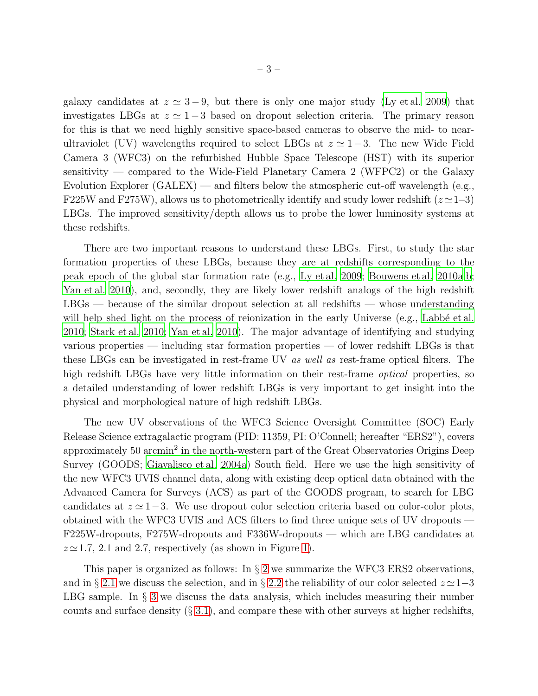galaxy candidates at  $z \approx 3-9$ , but there is only one major study [\(Ly et al. 2009](#page-17-7)) that investigates LBGs at  $z \approx 1-3$  based on dropout selection criteria. The primary reason for this is that we need highly sensitive space-based cameras to observe the mid- to nearultraviolet (UV) wavelengths required to select LBGs at  $z \approx 1-3$ . The new Wide Field Camera 3 (WFC3) on the refurbished Hubble Space Telescope (HST) with its superior sensitivity — compared to the Wide-Field Planetary Camera 2 (WFPC2) or the Galaxy Evolution Explorer (GALEX) — and filters below the atmospheric cut-off wavelength (e.g., F225W and F275W), allows us to photometrically identify and study lower redshift  $(z \approx 1-3)$ LBGs. The improved sensitivity/depth allows us to probe the lower luminosity systems at these redshifts.

There are two important reasons to understand these LBGs. First, to study the star formation properties of these LBGs, because they are at redshifts corresponding to the peak epoch of the global star formation rate (e.g., [Ly et al. 2009;](#page-17-7) [Bouwens et al. 2010a](#page-16-3)[,b;](#page-16-4) [Yan et al. 2010\)](#page-17-6), and, secondly, they are likely lower redshift analogs of the high redshift  $LBGs$  — because of the similar dropout selection at all redshifts — whose understanding will help shed light on the process of reionization in the early Universe (e.g., Labbé et al. [2010;](#page-17-8) [Stark et al. 2010;](#page-17-9) [Yan et al. 2010](#page-17-6)). The major advantage of identifying and studying various properties — including star formation properties — of lower redshift LBGs is that these LBGs can be investigated in rest-frame UV *as well as* rest-frame optical filters. The high redshift LBGs have very little information on their rest-frame *optical* properties, so a detailed understanding of lower redshift LBGs is very important to get insight into the physical and morphological nature of high redshift LBGs.

The new UV observations of the WFC3 Science Oversight Committee (SOC) Early Release Science extragalactic program (PID: 11359, PI: O'Connell; hereafter "ERS2"), covers approximately 50 arcmin<sup>2</sup> in the north-western part of the Great Observatories Origins Deep Survey (GOODS; [Giavalisco et al. 2004a\)](#page-16-5) South field. Here we use the high sensitivity of the new WFC3 UVIS channel data, along with existing deep optical data obtained with the Advanced Camera for Surveys (ACS) as part of the GOODS program, to search for LBG candidates at  $z \approx 1-3$ . We use dropout color selection criteria based on color-color plots, obtained with the WFC3 UVIS and ACS filters to find three unique sets of UV dropouts — F225W-dropouts, F275W-dropouts and F336W-dropouts — which are LBG candidates at  $z \approx 1.7$ , 2.1 and 2.7, respectively (as shown in Figure [1\)](#page-18-0).

This paper is organized as follows: In  $\S 2$  $\S 2$  we summarize the WFC3 ERS2 observations, and in § [2.1](#page-6-0) we discuss the selection, and in § [2.2](#page-9-0) the reliability of our color selected  $z \approx 1-3$ LBG sample. In  $\S$  [3](#page-10-0) we discuss the data analysis, which includes measuring their number counts and surface density  $(\S 3.1)$  $(\S 3.1)$ , and compare these with other surveys at higher redshifts,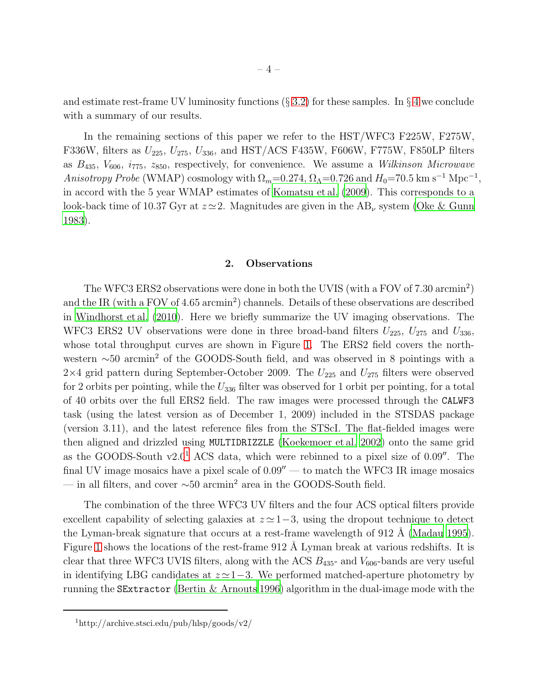and estimate rest-frame UV luminosity functions  $(\S 3.2)$  $(\S 3.2)$  for these samples. In  $\S 4$  $\S 4$  we conclude with a summary of our results.

In the remaining sections of this paper we refer to the HST/WFC3 F225W, F275W, F336W, filters as  $U_{225}$ ,  $U_{275}$ ,  $U_{336}$ , and HST/ACS F435W, F606W, F775W, F850LP filters as B435, V606, i775, z850, respectively, for convenience. We assume a *Wilkinson Microwave Anisotropy Probe* (WMAP) cosmology with  $\Omega_m = 0.274$ ,  $\Omega_{\Lambda} = 0.726$  and  $H_0 = 70.5$  km s<sup>-1</sup> Mpc<sup>-1</sup>, in accord with the 5 year WMAP estimates of [Komatsu et al. \(2009\)](#page-16-6). This corresponds to a look-back time of 10.37 Gyr at  $z \approx 2$ . Magnitudes are given in the AB<sub>v</sub> system [\(Oke & Gunn](#page-17-10) [1983\)](#page-17-10).

#### 2. Observations

<span id="page-5-0"></span>The WFC3 ERS2 observations were done in both the UVIS (with a FOV of 7.30 arcmin<sup>2</sup>) and the IR (with a FOV of 4.65 arcmin<sup>2</sup>) channels. Details of these observations are described in [Windhorst et al. \(2010](#page-17-11)). Here we briefly summarize the UV imaging observations. The WFC3 ERS2 UV observations were done in three broad-band filters  $U_{225}$ ,  $U_{275}$  and  $U_{336}$ , whose total throughput curves are shown in Figure [1.](#page-18-0) The ERS2 field covers the northwestern ∼50 arcmin<sup>2</sup> of the GOODS-South field, and was observed in 8 pointings with a  $2\times4$  grid pattern during September-October 2009. The  $U_{225}$  and  $U_{275}$  filters were observed for 2 orbits per pointing, while the  $U_{336}$  filter was observed for 1 orbit per pointing, for a total of 40 orbits over the full ERS2 field. The raw images were processed through the CALWF3 task (using the latest version as of December 1, 2009) included in the STSDAS package (version 3.11), and the latest reference files from the STScI. The flat-fielded images were then aligned and drizzled using MULTIDRIZZLE [\(Koekemoer et al. 2002\)](#page-16-7) onto the same grid as the GOODS-South  $v2.0<sup>1</sup>$  $v2.0<sup>1</sup>$  $v2.0<sup>1</sup>$  ACS data, which were rebinned to a pixel size of 0.09<sup> $\prime\prime$ </sup>. The final UV image mosaics have a pixel scale of  $0.09''$  — to match the WFC3 IR image mosaics — in all filters, and cover  $\sim 50$  arcmin<sup>2</sup> area in the GOODS-South field.

The combination of the three WFC3 UV filters and the four ACS optical filters provide excellent capability of selecting galaxies at  $z \approx 1-3$ , using the dropout technique to detect the Lyman-break signature that occurs at a rest-frame wavelength of  $912 \text{ Å}$  [\(Madau 1995](#page-17-12)). Figure [1](#page-18-0) shows the locations of the rest-frame 912 Å Lyman break at various redshifts. It is clear that three WFC3 UVIS filters, along with the ACS  $B_{435}$ - and  $V_{606}$ -bands are very useful in identifying LBG candidates at  $z \approx 1-3$ . We performed matched-aperture photometry by running the SExtractor [\(Bertin & Arnouts 1996\)](#page-16-8) algorithm in the dual-image mode with the

<span id="page-5-1"></span><sup>1</sup>http://archive.stsci.edu/pub/hlsp/goods/v2/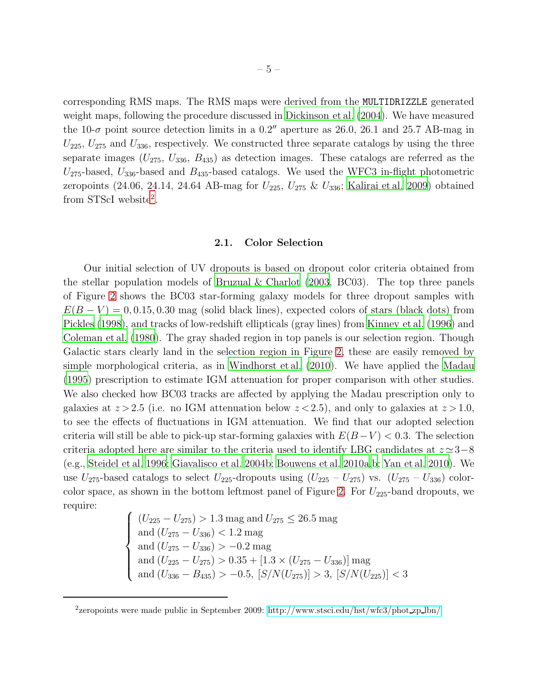corresponding RMS maps. The RMS maps were derived from the MULTIDRIZZLE generated weight maps, following the procedure discussed in [Dickinson et al. \(2004\)](#page-16-9). We have measured the 10- $\sigma$  point source detection limits in a 0.2<sup>"</sup> aperture as 26.0, 26.1 and 25.7 AB-mag in  $U_{225}$ ,  $U_{275}$  and  $U_{336}$ , respectively. We constructed three separate catalogs by using the three separate images  $(U_{275}, U_{336}, B_{435})$  as detection images. These catalogs are referred as the  $U_{275}$ -based,  $U_{336}$ -based and  $B_{435}$ -based catalogs. We used the WFC3 in-flight photometric zeropoints (24.06, 24.14, 24.64 AB-mag for  $U_{225}$ ,  $U_{275}$  &  $U_{336}$ ; [Kalirai et al. 2009\)](#page-16-10) obtained from STScI website<sup>[2](#page-17-13)</sup>.

#### 2.1. Color Selection

<span id="page-6-0"></span>Our initial selection of UV dropouts is based on dropout color criteria obtained from the stellar population models of [Bruzual & Charlot \(2003,](#page-16-11) BC03). The top three panels of Figure [2](#page-19-0) shows the BC03 star-forming galaxy models for three dropout samples with  $E(B-V) = 0, 0.15, 0.30$  mag (solid black lines), expected colors of stars (black dots) from [Pickles \(1998](#page-17-14)), and tracks of low-redshift ellipticals (gray lines) from [Kinney et al. \(1996\)](#page-16-12) and [Coleman et al. \(1980\)](#page-16-13). The gray shaded region in top panels is our selection region. Though Galactic stars clearly land in the selection region in Figure [2,](#page-19-0) these are easily removed by simple morphological criteria, as in [Windhorst et al. \(2010](#page-17-11)). We have applied the [Madau](#page-17-12) [\(1995\)](#page-17-12) prescription to estimate IGM attenuation for proper comparison with other studies. We also checked how BC03 tracks are affected by applying the Madau prescription only to galaxies at  $z > 2.5$  (i.e. no IGM attenuation below  $z < 2.5$ ), and only to galaxies at  $z > 1.0$ , to see the effects of fluctuations in IGM attenuation. We find that our adopted selection criteria will still be able to pick-up star-forming galaxies with  $E(B-V) < 0.3$ . The selection criteria adopted here are similar to the criteria used to identify LBG candidates at  $z \approx 3-8$ (e.g., [Steidel et al. 1996;](#page-17-0) [Giavalisco et al. 2004b;](#page-16-14) [Bouwens et al. 2010a](#page-16-3)[,b;](#page-16-4) [Yan et al. 2010\)](#page-17-6). We use  $U_{275}$ -based catalogs to select  $U_{225}$ -dropouts using  $(U_{225} - U_{275})$  vs.  $(U_{275} - U_{336})$  color-color space, as shown in the bottom leftmost panel of Figure [2.](#page-19-0) For  $U_{225}$ -band dropouts, we require:

$$
\begin{cases}\n(U_{225} - U_{275}) > 1.3 \text{ mag and } U_{275} \le 26.5 \text{ mag} \\
\text{and } (U_{275} - U_{336}) < 1.2 \text{ mag} \\
\text{and } (U_{275} - U_{336}) > -0.2 \text{ mag} \\
\text{and } (U_{225} - U_{275}) > 0.35 + [1.3 \times (U_{275} - U_{336})] \text{ mag} \\
\text{and } (U_{336} - B_{435}) > -0.5, [S/N(U_{275})] > 3, [S/N(U_{225})] < 3\n\end{cases}
$$

<sup>&</sup>lt;sup>2</sup>zeropoints were made public in September 2009: [http://www.stsci.edu/hst/wfc3/phot](http://www.stsci.edu/hst/wfc3/phot_zp_lbn/)\_zp\_lbn/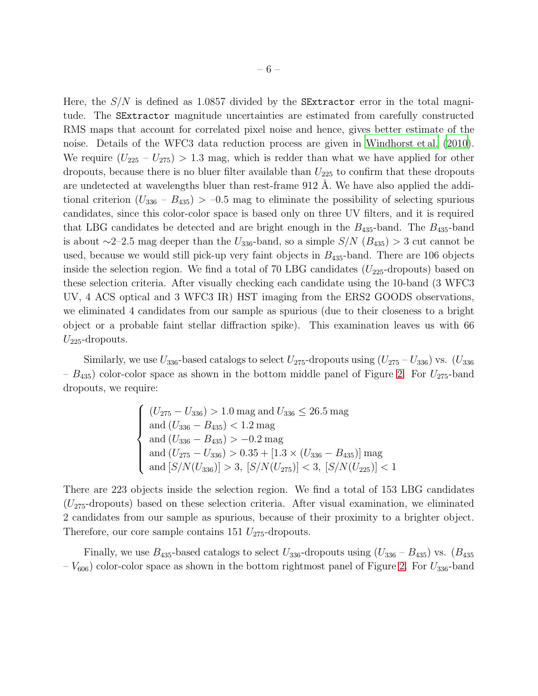Here, the  $S/N$  is defined as 1.0857 divided by the **SExtractor** error in the total magnitude. The SExtractor magnitude uncertainties are estimated from carefully constructed RMS maps that account for correlated pixel noise and hence, gives better estimate of the noise. Details of the WFC3 data reduction process are given in [Windhorst et al. \(2010](#page-17-11)). We require  $(U_{225} - U_{275}) > 1.3$  mag, which is redder than what we have applied for other dropouts, because there is no bluer filter available than  $U_{225}$  to confirm that these dropouts are undetected at wavelengths bluer than rest-frame 912 A. We have also applied the additional criterion  $(U_{336} - B_{435}) > -0.5$  mag to eliminate the possibility of selecting spurious candidates, since this color-color space is based only on three UV filters, and it is required that LBG candidates be detected and are bright enough in the  $B_{435}$ -band. The  $B_{435}$ -band is about  $\sim$ 2–2.5 mag deeper than the  $U_{336}$ -band, so a simple  $S/N$  ( $B_{435}$ ) > 3 cut cannot be used, because we would still pick-up very faint objects in  $B_{435}$ -band. There are 106 objects inside the selection region. We find a total of 70 LBG candidates  $(U_{225}$ -dropouts) based on these selection criteria. After visually checking each candidate using the 10-band (3 WFC3 UV, 4 ACS optical and 3 WFC3 IR) HST imaging from the ERS2 GOODS observations, we eliminated 4 candidates from our sample as spurious (due to their closeness to a bright object or a probable faint stellar diffraction spike). This examination leaves us with 66  $U_{225}$ -dropouts.

Similarly, we use  $U_{336}$ -based catalogs to select  $U_{275}$ -dropouts using  $(U_{275} - U_{336})$  vs.  $(U_{336}$  $-B_{435}$ ) color-color space as shown in the bottom middle panel of Figure [2.](#page-19-0) For  $U_{275}$ -band dropouts, we require:

$$
\begin{cases}\n(U_{275} - U_{336}) > 1.0 \text{ mag and } U_{336} \leq 26.5 \text{ mag} \\
\text{and } (U_{336} - B_{435}) < 1.2 \text{ mag} \\
\text{and } (U_{336} - B_{435}) > -0.2 \text{ mag} \\
\text{and } (U_{275} - U_{336}) > 0.35 + [1.3 \times (U_{336} - B_{435})] \text{ mag} \\
\text{and } [S/N(U_{336})] > 3, [S/N(U_{275})] < 3, [S/N(U_{225})] < 1\n\end{cases}
$$

There are 223 objects inside the selection region. We find a total of 153 LBG candidates  $(U_{275}$ -dropouts) based on these selection criteria. After visual examination, we eliminated 2 candidates from our sample as spurious, because of their proximity to a brighter object. Therefore, our core sample contains 151  $U_{275}$ -dropouts.

Finally, we use  $B_{435}$ -based catalogs to select  $U_{336}$ -dropouts using  $(U_{336} - B_{435})$  vs.  $(B_{435})$  $-V_{606}$ ) color-color space as shown in the bottom rightmost panel of Figure [2.](#page-19-0) For  $U_{336}$ -band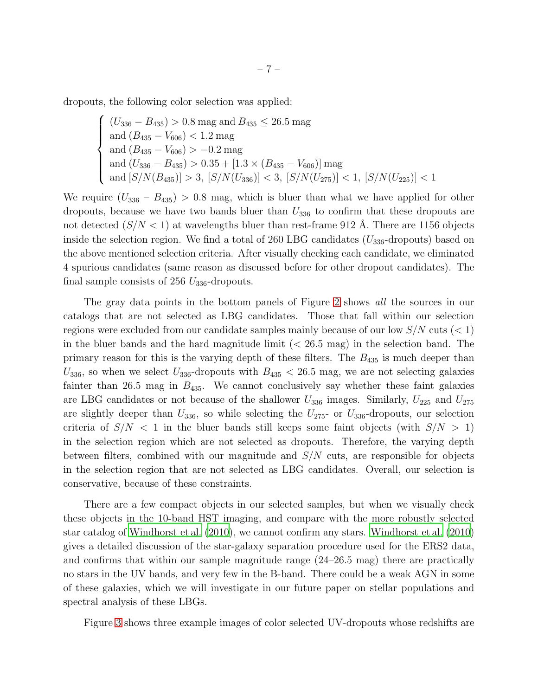dropouts, the following color selection was applied:

$$
\begin{cases}\n(U_{336} - B_{435}) > 0.8 \text{ mag and } B_{435} \leq 26.5 \text{ mag} \\
\text{and } (B_{435} - V_{606}) < 1.2 \text{ mag} \\
\text{and } (B_{435} - V_{606}) > -0.2 \text{ mag} \\
\text{and } (U_{336} - B_{435}) > 0.35 + [1.3 \times (B_{435} - V_{606})] \text{ mag} \\
\text{and } [S/N(B_{435})] > 3, [S/N(U_{336})] < 3, [S/N(U_{275})] < 1, [S/N(U_{225})] < 1\n\end{cases}
$$

We require  $(U_{336} - B_{435}) > 0.8$  mag, which is bluer than what we have applied for other dropouts, because we have two bands bluer than  $U_{336}$  to confirm that these dropouts are not detected  $(S/N < 1)$  at wavelengths bluer than rest-frame 912 Å. There are 1156 objects inside the selection region. We find a total of 260 LBG candidates  $(U_{336}$ -dropouts) based on the above mentioned selection criteria. After visually checking each candidate, we eliminated 4 spurious candidates (same reason as discussed before for other dropout candidates). The final sample consists of 256  $U_{336}$ -dropouts.

The gray data points in the bottom panels of Figure [2](#page-19-0) shows *all* the sources in our catalogs that are not selected as LBG candidates. Those that fall within our selection regions were excluded from our candidate samples mainly because of our low  $S/N$  cuts ( $\lt 1$ ) in the bluer bands and the hard magnitude limit  $( $26.5 \text{ mag}$ )$  in the selection band. The primary reason for this is the varying depth of these filters. The  $B_{435}$  is much deeper than  $U_{336}$ , so when we select  $U_{336}$ -dropouts with  $B_{435} < 26.5$  mag, we are not selecting galaxies fainter than 26.5 mag in  $B_{435}$ . We cannot conclusively say whether these faint galaxies are LBG candidates or not because of the shallower  $U_{336}$  images. Similarly,  $U_{225}$  and  $U_{275}$ are slightly deeper than  $U_{336}$ , so while selecting the  $U_{275}$ - or  $U_{336}$ -dropouts, our selection criteria of  $S/N < 1$  in the bluer bands still keeps some faint objects (with  $S/N > 1$ ) in the selection region which are not selected as dropouts. Therefore, the varying depth between filters, combined with our magnitude and  $S/N$  cuts, are responsible for objects in the selection region that are not selected as LBG candidates. Overall, our selection is conservative, because of these constraints.

There are a few compact objects in our selected samples, but when we visually check these objects in the 10-band HST imaging, and compare with the more robustly selected star catalog of [Windhorst et al. \(2010\)](#page-17-11), we cannot confirm any stars. [Windhorst et al. \(2010\)](#page-17-11) gives a detailed discussion of the star-galaxy separation procedure used for the ERS2 data, and confirms that within our sample magnitude range (24–26.5 mag) there are practically no stars in the UV bands, and very few in the B-band. There could be a weak AGN in some of these galaxies, which we will investigate in our future paper on stellar populations and spectral analysis of these LBGs.

Figure [3](#page-20-0) shows three example images of color selected UV-dropouts whose redshifts are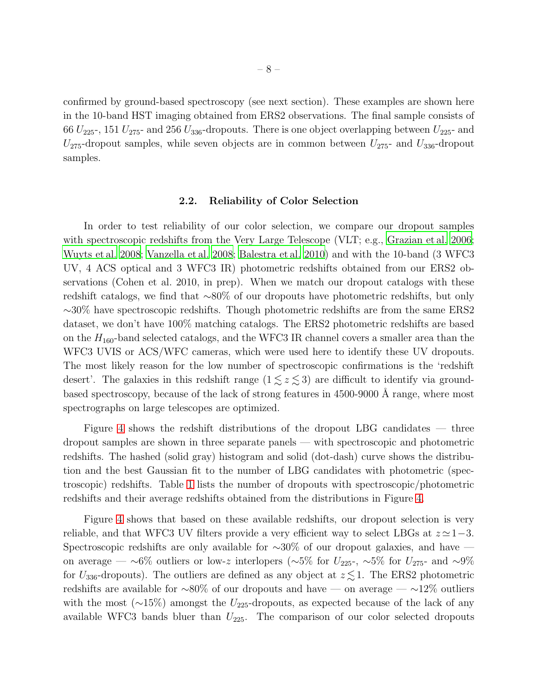confirmed by ground-based spectroscopy (see next section). These examples are shown here in the 10-band HST imaging obtained from ERS2 observations. The final sample consists of 66  $U_{225}$ , 151  $U_{275}$  and 256  $U_{336}$ -dropouts. There is one object overlapping between  $U_{225}$  and  $U_{275}$ -dropout samples, while seven objects are in common between  $U_{275}$ - and  $U_{336}$ -dropout samples.

#### 2.2. Reliability of Color Selection

<span id="page-9-0"></span>In order to test reliability of our color selection, we compare our dropout samples with spectroscopic redshifts from the Very Large Telescope (VLT; e.g., [Grazian et al. 2006;](#page-16-15) [Wuyts et al. 2008](#page-17-15); [Vanzella et al. 2008](#page-17-16); [Balestra et al. 2010\)](#page-16-16) and with the 10-band (3 WFC3 UV, 4 ACS optical and 3 WFC3 IR) photometric redshifts obtained from our ERS2 observations (Cohen et al. 2010, in prep). When we match our dropout catalogs with these redshift catalogs, we find that ∼80% of our dropouts have photometric redshifts, but only ∼30% have spectroscopic redshifts. Though photometric redshifts are from the same ERS2 dataset, we don't have 100% matching catalogs. The ERS2 photometric redshifts are based on the  $H_{160}$ -band selected catalogs, and the WFC3 IR channel covers a smaller area than the WFC3 UVIS or ACS/WFC cameras, which were used here to identify these UV dropouts. The most likely reason for the low number of spectroscopic confirmations is the 'redshift desert'. The galaxies in this redshift range  $(1 \leq z \leq 3)$  are difficult to identify via groundbased spectroscopy, because of the lack of strong features in  $4500-9000$  Å range, where most spectrographs on large telescopes are optimized.

Figure [4](#page-21-0) shows the redshift distributions of the dropout LBG candidates — three dropout samples are shown in three separate panels — with spectroscopic and photometric redshifts. The hashed (solid gray) histogram and solid (dot-dash) curve shows the distribution and the best Gaussian fit to the number of LBG candidates with photometric (spectroscopic) redshifts. Table [1](#page-25-0) lists the number of dropouts with spectroscopic/photometric redshifts and their average redshifts obtained from the distributions in Figure [4.](#page-21-0)

Figure [4](#page-21-0) shows that based on these available redshifts, our dropout selection is very reliable, and that WFC3 UV filters provide a very efficient way to select LBGs at  $z \approx 1-3$ . Spectroscopic redshifts are only available for ∼30% of our dropout galaxies, and have on average — ∼6% outliers or low-z interlopers (∼5% for  $U_{225}$ -, ∼5% for  $U_{275}$ - and ∼9% for  $U_{336}$ -dropouts). The outliers are defined as any object at  $z \lesssim 1$ . The ERS2 photometric redshifts are available for  $~\sim 80\%$  of our dropouts and have — on average —  $~\sim 12\%$  outliers with the most ( $\sim$ 15%) amongst the U<sub>225</sub>-dropouts, as expected because of the lack of any available WFC3 bands bluer than  $U_{225}$ . The comparison of our color selected dropouts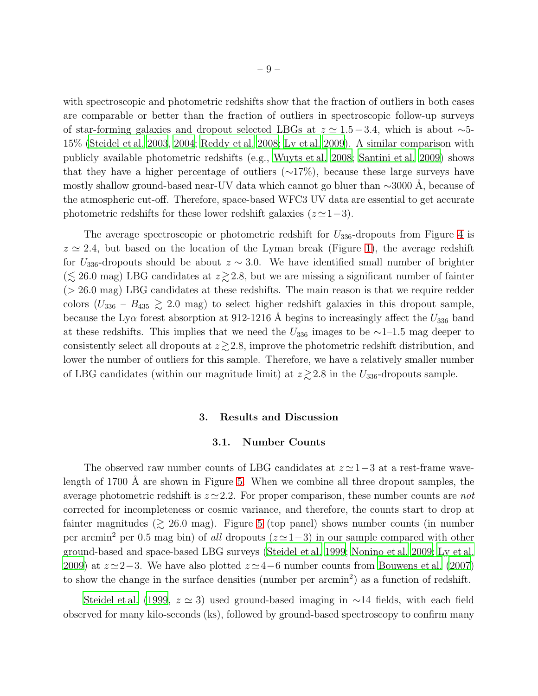with spectroscopic and photometric redshifts show that the fraction of outliers in both cases are comparable or better than the fraction of outliers in spectroscopic follow-up surveys of star-forming galaxies and dropout selected LBGs at  $z \approx 1.5-3.4$ , which is about ∼5-15% [\(Steidel et al. 2003](#page-17-17), [2004;](#page-17-18) [Reddy et al. 2008;](#page-17-3) [Ly et al. 2009](#page-17-7)). A similar comparison with publicly available photometric redshifts (e.g., [Wuyts et al. 2008;](#page-17-15) [Santini et al. 2009\)](#page-17-19) shows that they have a higher percentage of outliers  $(\sim 17\%)$ , because these large surveys have mostly shallow ground-based near-UV data which cannot go bluer than  $\sim$ 3000 Å, because of the atmospheric cut-off. Therefore, space-based WFC3 UV data are essential to get accurate photometric redshifts for these lower redshift galaxies  $(z \approx 1-3)$ .

The average spectroscopic or photometric redshift for  $U_{336}$ -dropouts from Figure [4](#page-21-0) is  $z \approx 2.4$ , but based on the location of the Lyman break (Figure [1\)](#page-18-0), the average redshift for  $U_{336}$ -dropouts should be about  $z \sim 3.0$ . We have identified small number of brighter  $(\lesssim 26.0 \text{ mag})$  LBG candidates at  $z \gtrsim 2.8$ , but we are missing a significant number of fainter (> 26.0 mag) LBG candidates at these redshifts. The main reason is that we require redder colors  $(U_{336} - B_{435} \geq 2.0$  mag) to select higher redshift galaxies in this dropout sample, because the Ly $\alpha$  forest absorption at 912-1216 Å begins to increasingly affect the  $U_{336}$  band at these redshifts. This implies that we need the  $U_{336}$  images to be ∼1–1.5 mag deeper to consistently select all dropouts at  $z \gtrsim 2.8$ , improve the photometric redshift distribution, and lower the number of outliers for this sample. Therefore, we have a relatively smaller number of LBG candidates (within our magnitude limit) at  $z \gtrsim 2.8$  in the  $U_{336}$ -dropouts sample.

#### 3. Results and Discussion

#### 3.1. Number Counts

<span id="page-10-1"></span><span id="page-10-0"></span>The observed raw number counts of LBG candidates at  $z \approx 1-3$  at a rest-frame wavelength of  $1700 \text{ Å}$  are shown in Figure [5.](#page-22-0) When we combine all three dropout samples, the average photometric redshift is z ≃2.2. For proper comparison, these number counts are *not* corrected for incompleteness or cosmic variance, and therefore, the counts start to drop at fainter magnitudes  $(\gtrsim 26.0 \text{ mag})$ . Figure [5](#page-22-0) (top panel) shows number counts (in number per arcmin<sup>2</sup> per 0.5 mag bin) of *all* dropouts (z ≃1−3) in our sample compared with other ground-based and space-based LBG surveys [\(Steidel et al. 1999](#page-17-1); [Nonino et al. 2009;](#page-17-20) [Ly et al.](#page-17-7) [2009\)](#page-17-7) at  $z \approx 2-3$ . We have also plotted  $z \approx 4-6$  number counts from [Bouwens et al. \(2007\)](#page-16-1) to show the change in the surface densities (number per arcmin<sup>2</sup>) as a function of redshift.

[Steidel et al. \(1999](#page-17-1),  $z \approx 3$ ) used ground-based imaging in ∼14 fields, with each field observed for many kilo-seconds (ks), followed by ground-based spectroscopy to confirm many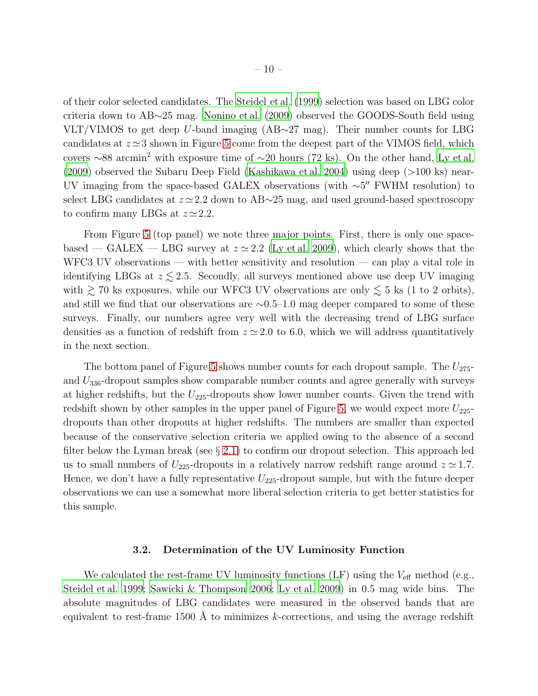of their color selected candidates. The [Steidel et al. \(1999\)](#page-17-1) selection was based on LBG color criteria down to AB∼25 mag. [Nonino et al. \(2009\)](#page-17-20) observed the GOODS-South field using VLT/VIMOS to get deep U-band imaging (AB∼27 mag). Their number counts for LBG candidates at  $z \approx 3$  shown in Figure [5](#page-22-0) come from the deepest part of the VIMOS field, which covers ∼88 arcmin<sup>2</sup> with exposure time of ∼20 hours (72 ks). On the other hand, [Ly et al.](#page-17-7) [\(2009\)](#page-17-7) observed the Subaru Deep Field [\(Kashikawa et al. 2004](#page-16-17)) using deep (>100 ks) near-UV imaging from the space-based GALEX observations (with ~5" FWHM resolution) to select LBG candidates at  $z \approx 2.2$  down to AB∼25 mag, and used ground-based spectroscopy to confirm many LBGs at  $z \approx 2.2$ .

From Figure [5](#page-22-0) (top panel) we note three major points. First, there is only one spacebased — GALEX — LBG survey at  $z \approx 2.2$  [\(Ly et al. 2009](#page-17-7)), which clearly shows that the WFC3 UV observations — with better sensitivity and resolution — can play a vital role in identifying LBGs at  $z \leq 2.5$ . Secondly, all surveys mentioned above use deep UV imaging with  $\gtrsim 70$  ks exposures, while our WFC3 UV observations are only  $\lesssim 5$  ks (1 to 2 orbits), and still we find that our observations are ∼0.5–1.0 mag deeper compared to some of these surveys. Finally, our numbers agree very well with the decreasing trend of LBG surface densities as a function of redshift from  $z \approx 2.0$  to 6.0, which we will address quantitatively in the next section.

The bottom panel of Figure [5](#page-22-0) shows number counts for each dropout sample. The  $U_{275}$ and  $U_{336}$ -dropout samples show comparable number counts and agree generally with surveys at higher redshifts, but the  $U_{225}$ -dropouts show lower number counts. Given the trend with redshift shown by other samples in the upper panel of Figure [5,](#page-22-0) we would expect more  $U_{225}$ dropouts than other dropouts at higher redshifts. The numbers are smaller than expected because of the conservative selection criteria we applied owing to the absence of a second filter below the Lyman break (see  $\S 2.1$ ) to confirm our dropout selection. This approach led us to small numbers of  $U_{225}$ -dropouts in a relatively narrow redshift range around  $z \approx 1.7$ . Hence, we don't have a fully representative  $U_{225}$ -dropout sample, but with the future deeper observations we can use a somewhat more liberal selection criteria to get better statistics for this sample.

#### 3.2. Determination of the UV Luminosity Function

<span id="page-11-0"></span>We calculated the rest-frame UV luminosity functions (LF) using the  $V_{\text{eff}}$  method (e.g., [Steidel et al. 1999;](#page-17-1) [Sawicki & Thompson 2006;](#page-17-2) [Ly et al. 2009](#page-17-7)) in 0.5 mag wide bins. The absolute magnitudes of LBG candidates were measured in the observed bands that are equivalent to rest-frame 1500 Å to minimizes  $k$ -corrections, and using the average redshift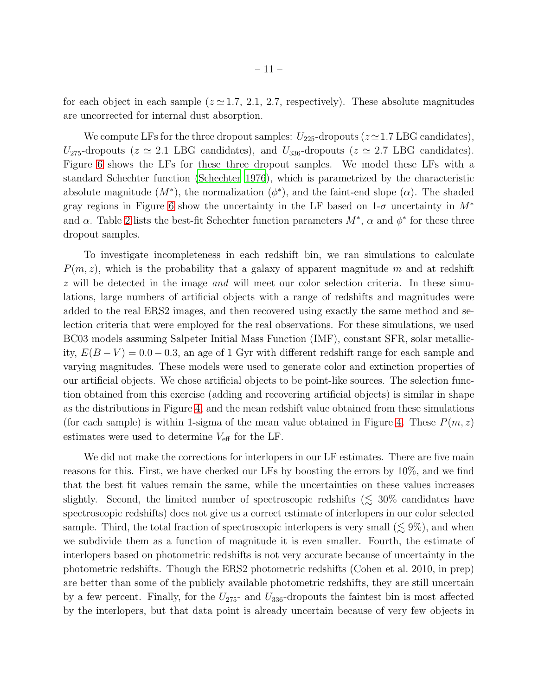for each object in each sample ( $z \approx 1.7, 2.1, 2.7$ , respectively). These absolute magnitudes are uncorrected for internal dust absorption.

We compute LFs for the three dropout samples:  $U_{225}$ -dropouts ( $z \approx 1.7$  LBG candidates),  $U_{275}$ -dropouts ( $z \approx 2.1$  LBG candidates), and  $U_{336}$ -dropouts ( $z \approx 2.7$  LBG candidates). Figure [6](#page-23-0) shows the LFs for these three dropout samples. We model these LFs with a standard Schechter function [\(Schechter 1976\)](#page-17-21), which is parametrized by the characteristic absolute magnitude  $(M^*)$ , the normalization  $(\phi^*)$ , and the faint-end slope  $(\alpha)$ . The shaded gray regions in Figure [6](#page-23-0) show the uncertainty in the LF based on  $1-\sigma$  uncertainty in  $M^*$ and  $\alpha$ . Table [2](#page-25-0) lists the best-fit Schechter function parameters  $M^*$ ,  $\alpha$  and  $\phi^*$  for these three dropout samples.

To investigate incompleteness in each redshift bin, we ran simulations to calculate  $P(m, z)$ , which is the probability that a galaxy of apparent magnitude m and at redshift z will be detected in the image *and* will meet our color selection criteria. In these simulations, large numbers of artificial objects with a range of redshifts and magnitudes were added to the real ERS2 images, and then recovered using exactly the same method and selection criteria that were employed for the real observations. For these simulations, we used BC03 models assuming Salpeter Initial Mass Function (IMF), constant SFR, solar metallicity,  $E(B-V) = 0.0 - 0.3$ , an age of 1 Gyr with different redshift range for each sample and varying magnitudes. These models were used to generate color and extinction properties of our artificial objects. We chose artificial objects to be point-like sources. The selection function obtained from this exercise (adding and recovering artificial objects) is similar in shape as the distributions in Figure [4,](#page-21-0) and the mean redshift value obtained from these simulations (for each sample) is within 1-sigma of the mean value obtained in Figure [4.](#page-21-0) These  $P(m, z)$ estimates were used to determine  $V_{\text{eff}}$  for the LF.

We did not make the corrections for interlopers in our LF estimates. There are five main reasons for this. First, we have checked our LFs by boosting the errors by 10%, and we find that the best fit values remain the same, while the uncertainties on these values increases slightly. Second, the limited number of spectroscopic redshifts  $(\leq 30\%$  candidates have spectroscopic redshifts) does not give us a correct estimate of interlopers in our color selected sample. Third, the total fraction of spectroscopic interlopers is very small ( $\lesssim 9\%$ ), and when we subdivide them as a function of magnitude it is even smaller. Fourth, the estimate of interlopers based on photometric redshifts is not very accurate because of uncertainty in the photometric redshifts. Though the ERS2 photometric redshifts (Cohen et al. 2010, in prep) are better than some of the publicly available photometric redshifts, they are still uncertain by a few percent. Finally, for the  $U_{275}$ - and  $U_{336}$ -dropouts the faintest bin is most affected by the interlopers, but that data point is already uncertain because of very few objects in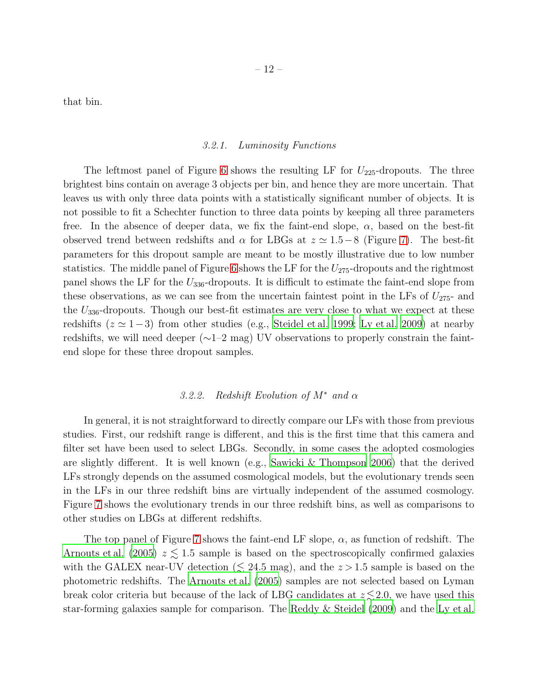that bin.

#### *3.2.1. Luminosity Functions*

The leftmost panel of Figure [6](#page-23-0) shows the resulting LF for  $U_{225}$ -dropouts. The three brightest bins contain on average 3 objects per bin, and hence they are more uncertain. That leaves us with only three data points with a statistically significant number of objects. It is not possible to fit a Schechter function to three data points by keeping all three parameters free. In the absence of deeper data, we fix the faint-end slope,  $\alpha$ , based on the best-fit observed trend between redshifts and  $\alpha$  for LBGs at  $z \approx 1.5-8$  (Figure [7\)](#page-24-0). The best-fit parameters for this dropout sample are meant to be mostly illustrative due to low number statistics. The middle panel of Figure [6](#page-23-0) shows the LF for the  $U_{275}$ -dropouts and the rightmost panel shows the LF for the  $U_{336}$ -dropouts. It is difficult to estimate the faint-end slope from these observations, as we can see from the uncertain faintest point in the LFs of  $U_{275}$ - and the  $U_{336}$ -dropouts. Though our best-fit estimates are very close to what we expect at these redshifts ( $z \approx 1-3$ ) from other studies (e.g., [Steidel et al. 1999](#page-17-1); [Ly et al. 2009\)](#page-17-7) at nearby redshifts, we will need deeper (∼1–2 mag) UV observations to properly constrain the faintend slope for these three dropout samples.

## *3.2.2. Redshift Evolution of* M<sup>∗</sup> *and* α

In general, it is not straightforward to directly compare our LFs with those from previous studies. First, our redshift range is different, and this is the first time that this camera and filter set have been used to select LBGs. Secondly, in some cases the adopted cosmologies are slightly different. It is well known (e.g., [Sawicki & Thompson 2006\)](#page-17-2) that the derived LFs strongly depends on the assumed cosmological models, but the evolutionary trends seen in the LFs in our three redshift bins are virtually independent of the assumed cosmology. Figure [7](#page-24-0) shows the evolutionary trends in our three redshift bins, as well as comparisons to other studies on LBGs at different redshifts.

The top panel of Figure [7](#page-24-0) shows the faint-end LF slope,  $\alpha$ , as function of redshift. The [Arnouts et al. \(2005\)](#page-16-18)  $z \leq 1.5$  sample is based on the spectroscopically confirmed galaxies with the GALEX near-UV detection ( $\leq 24.5$  mag), and the  $z > 1.5$  sample is based on the photometric redshifts. The [Arnouts et al. \(2005\)](#page-16-18) samples are not selected based on Lyman break color criteria but because of the lack of LBG candidates at  $z \lesssim 2.0$ , we have used this star-forming galaxies sample for comparison. The [Reddy & Steidel \(2009\)](#page-17-22) and the [Ly et al.](#page-17-7)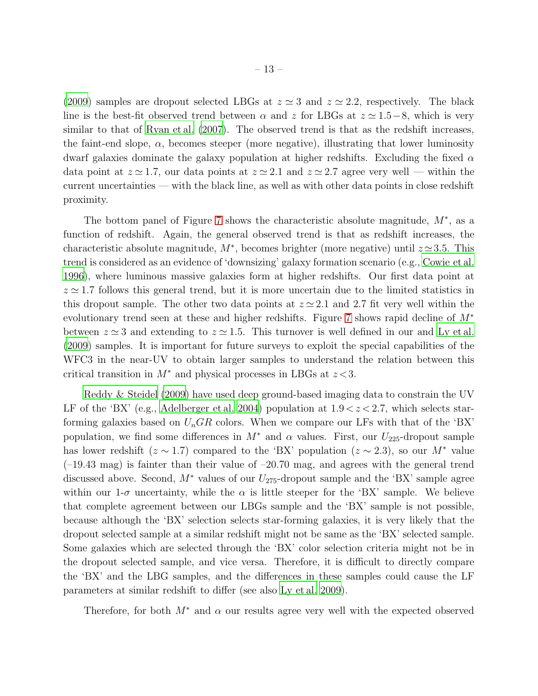[\(2009\)](#page-17-7) samples are dropout selected LBGs at  $z \approx 3$  and  $z \approx 2.2$ , respectively. The black line is the best-fit observed trend between  $\alpha$  and z for LBGs at  $z \approx 1.5-8$ , which is very similar to that of Ryan et al.  $(2007)$ . The observed trend is that as the redshift increases, the faint-end slope,  $\alpha$ , becomes steeper (more negative), illustrating that lower luminosity dwarf galaxies dominate the galaxy population at higher redshifts. Excluding the fixed  $\alpha$ data point at  $z \approx 1.7$ , our data points at  $z \approx 2.1$  and  $z \approx 2.7$  agree very well — within the current uncertainties — with the black line, as well as with other data points in close redshift proximity.

The bottom panel of Figure [7](#page-24-0) shows the characteristic absolute magnitude,  $M^*$ , as a function of redshift. Again, the general observed trend is that as redshift increases, the characteristic absolute magnitude,  $M^*$ , becomes brighter (more negative) until  $z \approx 3.5$ . This trend is considered as an evidence of 'downsizing' galaxy formation scenario (e.g., [Cowie et al.](#page-16-19) [1996\)](#page-16-19), where luminous massive galaxies form at higher redshifts. Our first data point at  $z \approx 1.7$  follows this general trend, but it is more uncertain due to the limited statistics in this dropout sample. The other two data points at  $z \approx 2.1$  and 2.7 fit very well within the evolutionary trend seen at these and higher redshifts. Figure [7](#page-24-0) shows rapid decline of M<sup>∗</sup> between  $z \approx 3$  and extending to  $z \approx 1.5$ . This turnover is well defined in our and [Ly et al.](#page-17-7) [\(2009\)](#page-17-7) samples. It is important for future surveys to exploit the special capabilities of the WFC3 in the near-UV to obtain larger samples to understand the relation between this critical transition in  $M^*$  and physical processes in LBGs at  $z < 3$ .

[Reddy & Steidel \(2009\)](#page-17-22) have used deep ground-based imaging data to constrain the UV LF of the 'BX' (e.g., [Adelberger et al. 2004](#page-16-20)) population at  $1.9 < z < 2.7$ , which selects starforming galaxies based on  $U_nGR$  colors. When we compare our LFs with that of the 'BX' population, we find some differences in  $M^*$  and  $\alpha$  values. First, our  $U_{225}$ -dropout sample has lower redshift ( $z \sim 1.7$ ) compared to the 'BX' population ( $z \sim 2.3$ ), so our M<sup>\*</sup> value  $(-19.43 \text{ mag})$  is fainter than their value of  $-20.70 \text{ mag}$ , and agrees with the general trend discussed above. Second,  $M^*$  values of our  $U_{275}$ -dropout sample and the 'BX' sample agree within our 1- $\sigma$  uncertainty, while the  $\alpha$  is little steeper for the 'BX' sample. We believe that complete agreement between our LBGs sample and the 'BX' sample is not possible, because although the 'BX' selection selects star-forming galaxies, it is very likely that the dropout selected sample at a similar redshift might not be same as the 'BX' selected sample. Some galaxies which are selected through the 'BX' color selection criteria might not be in the dropout selected sample, and vice versa. Therefore, it is difficult to directly compare the 'BX' and the LBG samples, and the differences in these samples could cause the LF parameters at similar redshift to differ (see also [Ly et al. 2009](#page-17-7)).

Therefore, for both  $M^*$  and  $\alpha$  our results agree very well with the expected observed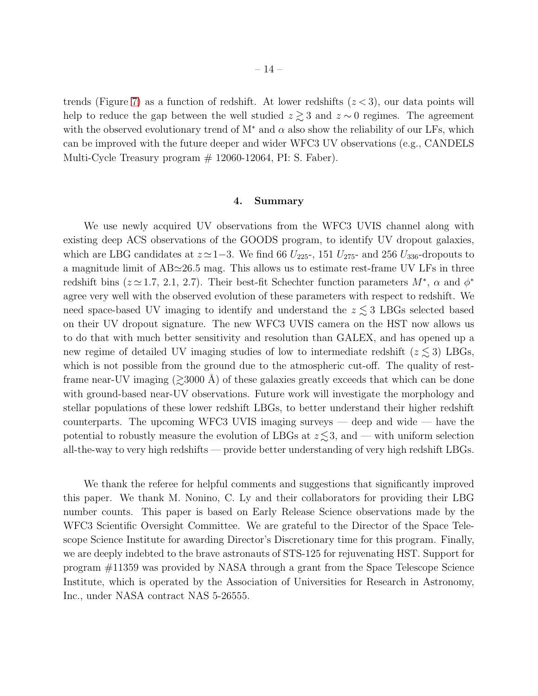trends (Figure [7\)](#page-24-0) as a function of redshift. At lower redshifts  $(z < 3)$ , our data points will help to reduce the gap between the well studied  $z \gtrsim 3$  and  $z \sim 0$  regimes. The agreement with the observed evolutionary trend of  $M^*$  and  $\alpha$  also show the reliability of our LFs, which can be improved with the future deeper and wider WFC3 UV observations (e.g., CANDELS Multi-Cycle Treasury program  $# 12060-12064$ , PI: S. Faber).

#### 4. Summary

<span id="page-15-0"></span>We use newly acquired UV observations from the WFC3 UVIS channel along with existing deep ACS observations of the GOODS program, to identify UV dropout galaxies, which are LBG candidates at  $z \approx 1-3$ . We find 66  $U_{225}$ , 151  $U_{275}$ - and 256  $U_{336}$ -dropouts to a magnitude limit of AB≃26.5 mag. This allows us to estimate rest-frame UV LFs in three redshift bins ( $z \approx 1.7, 2.1, 2.7$ ). Their best-fit Schechter function parameters  $M^*$ ,  $\alpha$  and  $\phi^*$ agree very well with the observed evolution of these parameters with respect to redshift. We need space-based UV imaging to identify and understand the  $z \lesssim 3$  LBGs selected based on their UV dropout signature. The new WFC3 UVIS camera on the HST now allows us to do that with much better sensitivity and resolution than GALEX, and has opened up a new regime of detailed UV imaging studies of low to intermediate redshift ( $z \lesssim 3$ ) LBGs, which is not possible from the ground due to the atmospheric cut-off. The quality of restframe near-UV imaging  $(\geq 3000 \text{ Å})$  of these galaxies greatly exceeds that which can be done with ground-based near-UV observations. Future work will investigate the morphology and stellar populations of these lower redshift LBGs, to better understand their higher redshift counterparts. The upcoming WFC3 UVIS imaging surveys — deep and wide — have the potential to robustly measure the evolution of LBGs at  $z \lesssim 3$ , and — with uniform selection all-the-way to very high redshifts — provide better understanding of very high redshift LBGs.

We thank the referee for helpful comments and suggestions that significantly improved this paper. We thank M. Nonino, C. Ly and their collaborators for providing their LBG number counts. This paper is based on Early Release Science observations made by the WFC3 Scientific Oversight Committee. We are grateful to the Director of the Space Telescope Science Institute for awarding Director's Discretionary time for this program. Finally, we are deeply indebted to the brave astronauts of STS-125 for rejuvenating HST. Support for program #11359 was provided by NASA through a grant from the Space Telescope Science Institute, which is operated by the Association of Universities for Research in Astronomy, Inc., under NASA contract NAS 5-26555.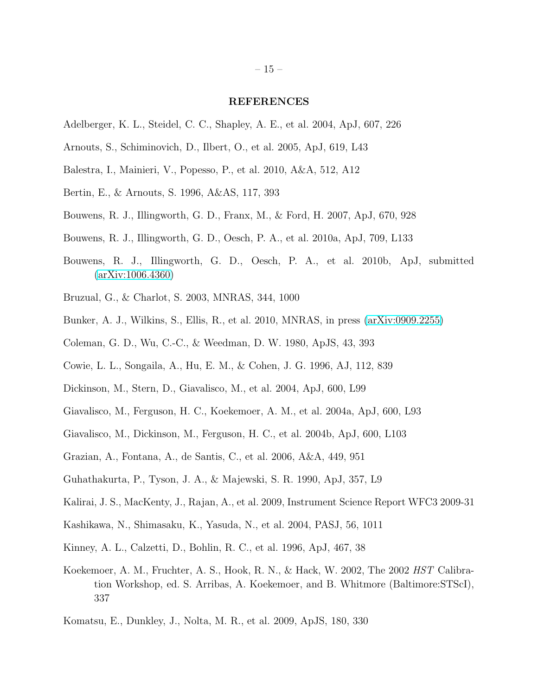#### REFERENCES

- <span id="page-16-20"></span>Adelberger, K. L., Steidel, C. C., Shapley, A. E., et al. 2004, ApJ, 607, 226
- <span id="page-16-18"></span>Arnouts, S., Schiminovich, D., Ilbert, O., et al. 2005, ApJ, 619, L43
- <span id="page-16-16"></span>Balestra, I., Mainieri, V., Popesso, P., et al. 2010, A&A, 512, A12
- <span id="page-16-8"></span>Bertin, E., & Arnouts, S. 1996, A&AS, 117, 393
- <span id="page-16-1"></span>Bouwens, R. J., Illingworth, G. D., Franx, M., & Ford, H. 2007, ApJ, 670, 928
- <span id="page-16-3"></span>Bouwens, R. J., Illingworth, G. D., Oesch, P. A., et al. 2010a, ApJ, 709, L133
- <span id="page-16-4"></span>Bouwens, R. J., Illingworth, G. D., Oesch, P. A., et al. 2010b, ApJ, submitted [\(arXiv:1006.4360\)](http://arxiv.org/abs/1006.4360)
- <span id="page-16-11"></span>Bruzual, G., & Charlot, S. 2003, MNRAS, 344, 1000
- <span id="page-16-2"></span>Bunker, A. J., Wilkins, S., Ellis, R., et al. 2010, MNRAS, in press [\(arXiv:0909.2255\)](http://arxiv.org/abs/0909.2255)
- <span id="page-16-13"></span>Coleman, G. D., Wu, C.-C., & Weedman, D. W. 1980, ApJS, 43, 393
- <span id="page-16-19"></span>Cowie, L. L., Songaila, A., Hu, E. M., & Cohen, J. G. 1996, AJ, 112, 839
- <span id="page-16-9"></span>Dickinson, M., Stern, D., Giavalisco, M., et al. 2004, ApJ, 600, L99
- <span id="page-16-5"></span>Giavalisco, M., Ferguson, H. C., Koekemoer, A. M., et al. 2004a, ApJ, 600, L93
- <span id="page-16-14"></span>Giavalisco, M., Dickinson, M., Ferguson, H. C., et al. 2004b, ApJ, 600, L103
- <span id="page-16-15"></span>Grazian, A., Fontana, A., de Santis, C., et al. 2006, A&A, 449, 951
- <span id="page-16-0"></span>Guhathakurta, P., Tyson, J. A., & Majewski, S. R. 1990, ApJ, 357, L9
- <span id="page-16-10"></span>Kalirai, J. S., MacKenty, J., Rajan, A., et al. 2009, Instrument Science Report WFC3 2009-31
- <span id="page-16-17"></span>Kashikawa, N., Shimasaku, K., Yasuda, N., et al. 2004, PASJ, 56, 1011
- <span id="page-16-12"></span>Kinney, A. L., Calzetti, D., Bohlin, R. C., et al. 1996, ApJ, 467, 38
- <span id="page-16-7"></span>Koekemoer, A. M., Fruchter, A. S., Hook, R. N., & Hack, W. 2002, The 2002 *HST* Calibration Workshop, ed. S. Arribas, A. Koekemoer, and B. Whitmore (Baltimore:STScI), 337
- <span id="page-16-6"></span>Komatsu, E., Dunkley, J., Nolta, M. R., et al. 2009, ApJS, 180, 330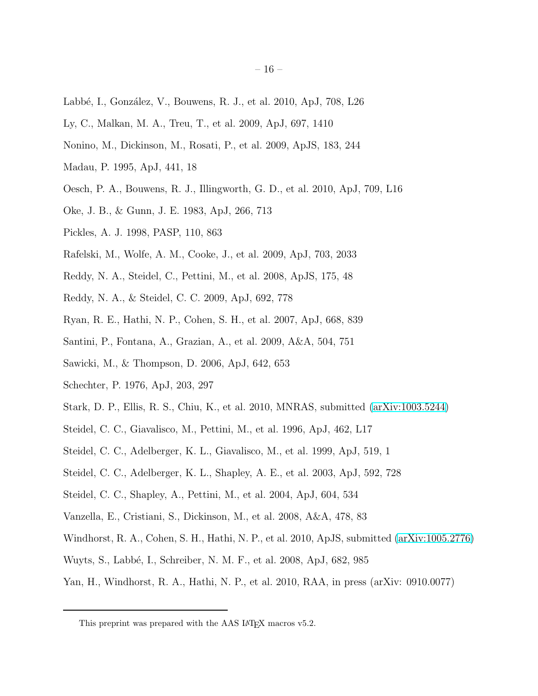- <span id="page-17-8"></span>Labbé, I., González, V., Bouwens, R. J., et al. 2010, ApJ, 708, L26
- <span id="page-17-7"></span>Ly, C., Malkan, M. A., Treu, T., et al. 2009, ApJ, 697, 1410
- <span id="page-17-20"></span>Nonino, M., Dickinson, M., Rosati, P., et al. 2009, ApJS, 183, 244
- <span id="page-17-12"></span>Madau, P. 1995, ApJ, 441, 18
- <span id="page-17-5"></span>Oesch, P. A., Bouwens, R. J., Illingworth, G. D., et al. 2010, ApJ, 709, L16
- <span id="page-17-10"></span>Oke, J. B., & Gunn, J. E. 1983, ApJ, 266, 713
- <span id="page-17-14"></span>Pickles, A. J. 1998, PASP, 110, 863
- <span id="page-17-4"></span>Rafelski, M., Wolfe, A. M., Cooke, J., et al. 2009, ApJ, 703, 2033
- <span id="page-17-3"></span>Reddy, N. A., Steidel, C., Pettini, M., et al. 2008, ApJS, 175, 48
- <span id="page-17-22"></span>Reddy, N. A., & Steidel, C. C. 2009, ApJ, 692, 778
- <span id="page-17-23"></span>Ryan, R. E., Hathi, N. P., Cohen, S. H., et al. 2007, ApJ, 668, 839
- <span id="page-17-19"></span>Santini, P., Fontana, A., Grazian, A., et al. 2009, A&A, 504, 751
- <span id="page-17-2"></span>Sawicki, M., & Thompson, D. 2006, ApJ, 642, 653
- <span id="page-17-21"></span>Schechter, P. 1976, ApJ, 203, 297
- <span id="page-17-9"></span>Stark, D. P., Ellis, R. S., Chiu, K., et al. 2010, MNRAS, submitted [\(arXiv:1003.5244\)](http://arxiv.org/abs/1003.5244)
- <span id="page-17-0"></span>Steidel, C. C., Giavalisco, M., Pettini, M., et al. 1996, ApJ, 462, L17
- <span id="page-17-1"></span>Steidel, C. C., Adelberger, K. L., Giavalisco, M., et al. 1999, ApJ, 519, 1
- <span id="page-17-17"></span>Steidel, C. C., Adelberger, K. L., Shapley, A. E., et al. 2003, ApJ, 592, 728
- <span id="page-17-18"></span>Steidel, C. C., Shapley, A., Pettini, M., et al. 2004, ApJ, 604, 534
- <span id="page-17-16"></span>Vanzella, E., Cristiani, S., Dickinson, M., et al. 2008, A&A, 478, 83
- <span id="page-17-11"></span>Windhorst, R. A., Cohen, S. H., Hathi, N. P., et al. 2010, ApJS, submitted [\(arXiv:1005.2776\)](http://arxiv.org/abs/1005.2776)
- <span id="page-17-15"></span>Wuyts, S., Labb´e, I., Schreiber, N. M. F., et al. 2008, ApJ, 682, 985
- <span id="page-17-6"></span>Yan, H., Windhorst, R. A., Hathi, N. P., et al. 2010, RAA, in press (arXiv: 0910.0077)

<span id="page-17-13"></span>This preprint was prepared with the AAS LAT<sub>E</sub>X macros v5.2.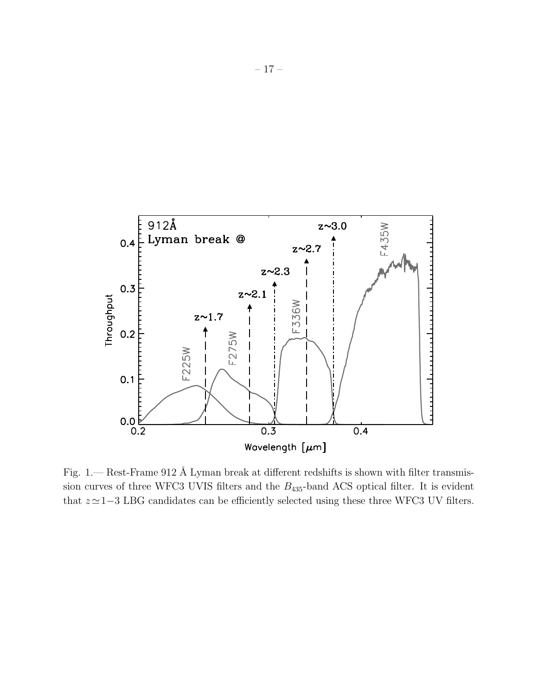

<span id="page-18-0"></span>Fig. 1.— Rest-Frame 912 Å Lyman break at different redshifts is shown with filter transmission curves of three WFC3 UVIS filters and the  $B_{435}$ -band ACS optical filter. It is evident that  $z \approx 1-3$  LBG candidates can be efficiently selected using these three WFC3 UV filters.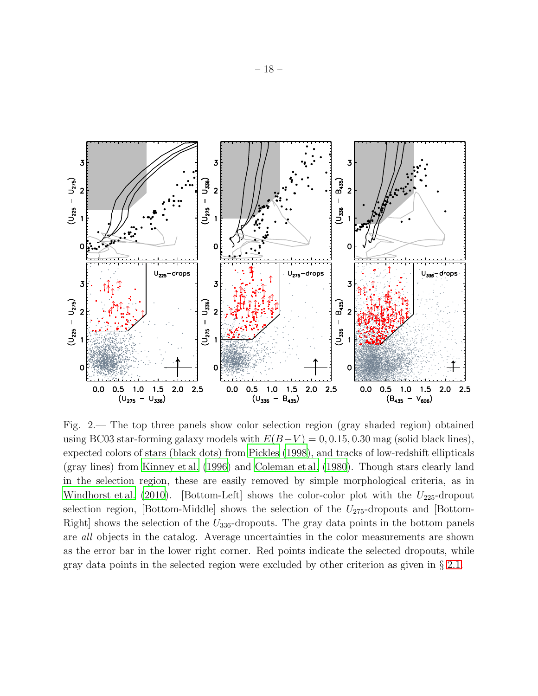

<span id="page-19-0"></span>Fig. 2.— The top three panels show color selection region (gray shaded region) obtained using BC03 star-forming galaxy models with  $E(B-V) = 0, 0.15, 0.30$  mag (solid black lines), expected colors of stars (black dots) from [Pickles \(1998](#page-17-14)), and tracks of low-redshift ellipticals (gray lines) from [Kinney et al. \(1996\)](#page-16-12) and [Coleman et al. \(1980\)](#page-16-13). Though stars clearly land in the selection region, these are easily removed by simple morphological criteria, as in [Windhorst et al. \(2010\)](#page-17-11). [Bottom-Left] shows the color-color plot with the  $U_{225}$ -dropout selection region, [Bottom-Middle] shows the selection of the  $U_{275}$ -dropouts and [Bottom-Right] shows the selection of the  $U_{336}$ -dropouts. The gray data points in the bottom panels are *all* objects in the catalog. Average uncertainties in the color measurements are shown as the error bar in the lower right corner. Red points indicate the selected dropouts, while gray data points in the selected region were excluded by other criterion as given in § [2.1.](#page-6-0)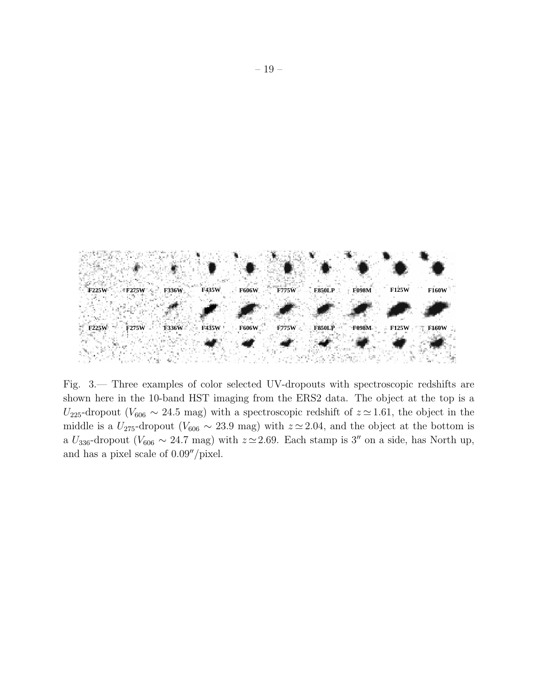

<span id="page-20-0"></span>Fig. 3.— Three examples of color selected UV-dropouts with spectroscopic redshifts are shown here in the 10-band HST imaging from the ERS2 data. The object at the top is a U<sub>225</sub>-dropout ( $V_{606} \sim 24.5$  mag) with a spectroscopic redshift of  $z \approx 1.61$ , the object in the middle is a  $U_{275}$ -dropout ( $V_{606} \sim 23.9$  mag) with  $z \approx 2.04$ , and the object at the bottom is a  $U_{336}$ -dropout ( $V_{606} \sim 24.7$  mag) with  $z \approx 2.69$ . Each stamp is 3″ on a side, has North up, and has a pixel scale of 0.09′′/pixel.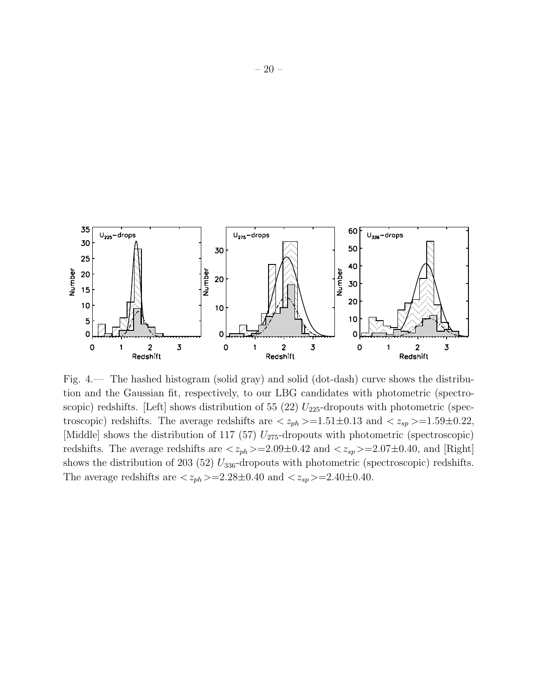

<span id="page-21-0"></span>Fig. 4.— The hashed histogram (solid gray) and solid (dot-dash) curve shows the distribution and the Gaussian fit, respectively, to our LBG candidates with photometric (spectroscopic) redshifts. [Left] shows distribution of 55 (22)  $U_{225}$ -dropouts with photometric (spectroscopic) redshifts. The average redshifts are  $\langle z_{ph} \rangle = 1.51 \pm 0.13$  and  $\langle z_{sp} \rangle = 1.59 \pm 0.22$ , [Middle] shows the distribution of 117 (57)  $U_{275}$ -dropouts with photometric (spectroscopic) redshifts. The average redshifts are  $\langle z_{ph} \rangle = 2.09 \pm 0.42$  and  $\langle z_{sp} \rangle = 2.07 \pm 0.40$ , and [Right] shows the distribution of 203 (52)  $U_{336}$ -dropouts with photometric (spectroscopic) redshifts. The average redshifts are  $\langle z_{ph} \rangle = 2.28 \pm 0.40$  and  $\langle z_{sp} \rangle = 2.40 \pm 0.40$ .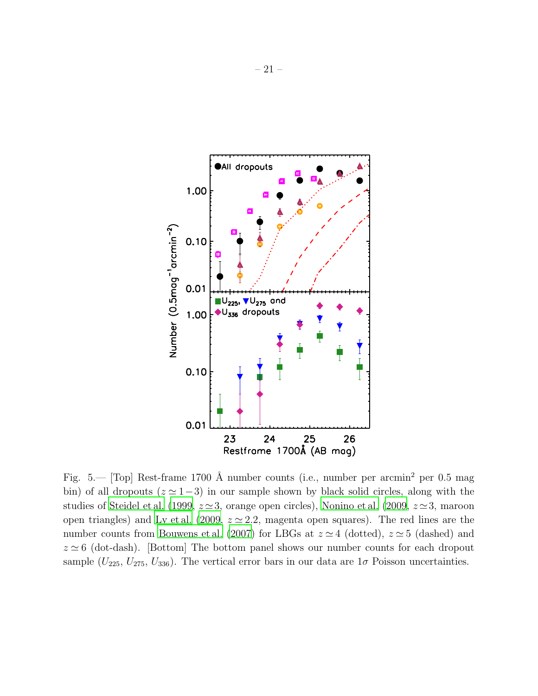

<span id="page-22-0"></span>Fig. 5.— [Top] Rest-frame 1700 Å number counts (i.e., number per arcmin<sup>2</sup> per 0.5 mag bin) of all dropouts  $(z \approx 1-3)$  in our sample shown by black solid circles, along with the studies of [Steidel et al. \(1999,](#page-17-1)  $z \approx 3$ , orange open circles), [Nonino et al. \(2009,](#page-17-20)  $z \approx 3$ , maroon open triangles) and [Ly et al. \(2009,](#page-17-7)  $z \approx 2.2$ , magenta open squares). The red lines are the number counts from [Bouwens et al. \(2007\)](#page-16-1) for LBGs at  $z \approx 4$  (dotted),  $z \approx 5$  (dashed) and  $z \approx 6$  (dot-dash). [Bottom] The bottom panel shows our number counts for each dropout sample ( $U_{225}$ ,  $U_{275}$ ,  $U_{336}$ ). The vertical error bars in our data are  $1\sigma$  Poisson uncertainties.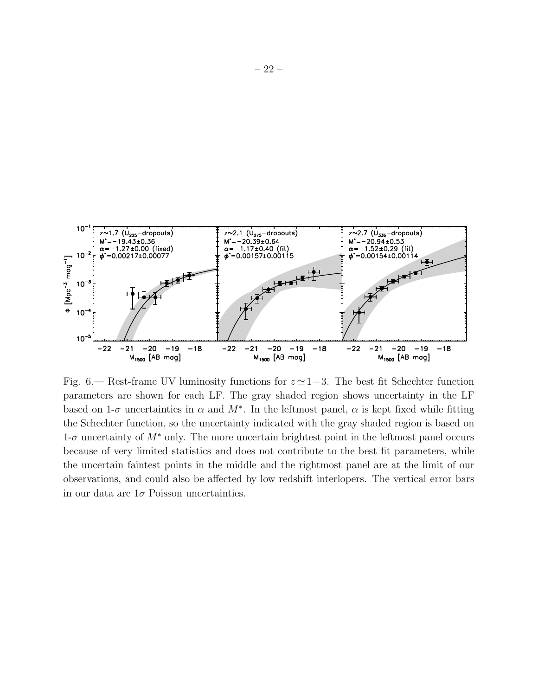

<span id="page-23-0"></span>Fig. 6.— Rest-frame UV luminosity functions for  $z \approx 1-3$ . The best fit Schechter function parameters are shown for each LF. The gray shaded region shows uncertainty in the LF based on 1- $\sigma$  uncertainties in  $\alpha$  and  $M^*$ . In the leftmost panel,  $\alpha$  is kept fixed while fitting the Schechter function, so the uncertainty indicated with the gray shaded region is based on  $1-\sigma$  uncertainty of  $M^*$  only. The more uncertain brightest point in the leftmost panel occurs because of very limited statistics and does not contribute to the best fit parameters, while the uncertain faintest points in the middle and the rightmost panel are at the limit of our observations, and could also be affected by low redshift interlopers. The vertical error bars in our data are  $1\sigma$  Poisson uncertainties.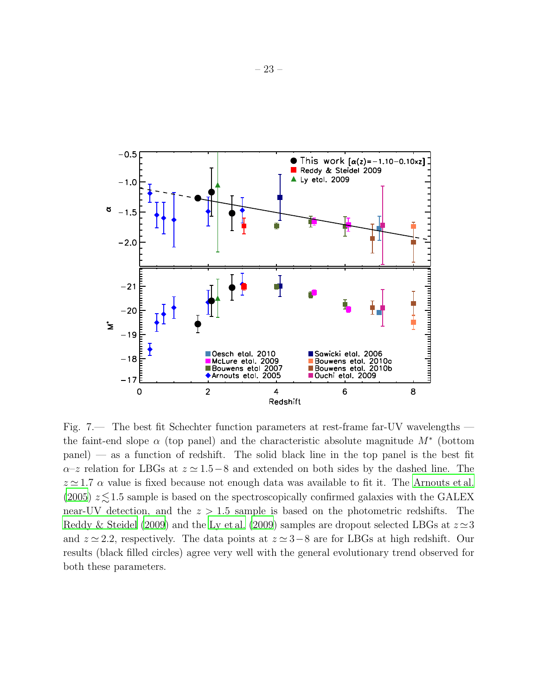

<span id="page-24-0"></span>Fig. 7.— The best fit Schechter function parameters at rest-frame far-UV wavelengths the faint-end slope  $\alpha$  (top panel) and the characteristic absolute magnitude  $M^*$  (bottom panel) — as a function of redshift. The solid black line in the top panel is the best fit  $\alpha$ –z relation for LBGs at  $z \approx 1.5-8$  and extended on both sides by the dashed line. The  $z \approx 1.7 \alpha$  value is fixed because not enough data was available to fit it. The [Arnouts et al.](#page-16-18) [\(2005\)](#page-16-18)  $z \leq 1.5$  sample is based on the spectroscopically confirmed galaxies with the GALEX near-UV detection, and the  $z > 1.5$  sample is based on the photometric redshifts. The [Reddy & Steidel \(2009\)](#page-17-22) and the [Ly et al. \(2009](#page-17-7)) samples are dropout selected LBGs at  $z \approx 3$ and  $z \approx 2.2$ , respectively. The data points at  $z \approx 3-8$  are for LBGs at high redshift. Our results (black filled circles) agree very well with the general evolutionary trend observed for both these parameters.